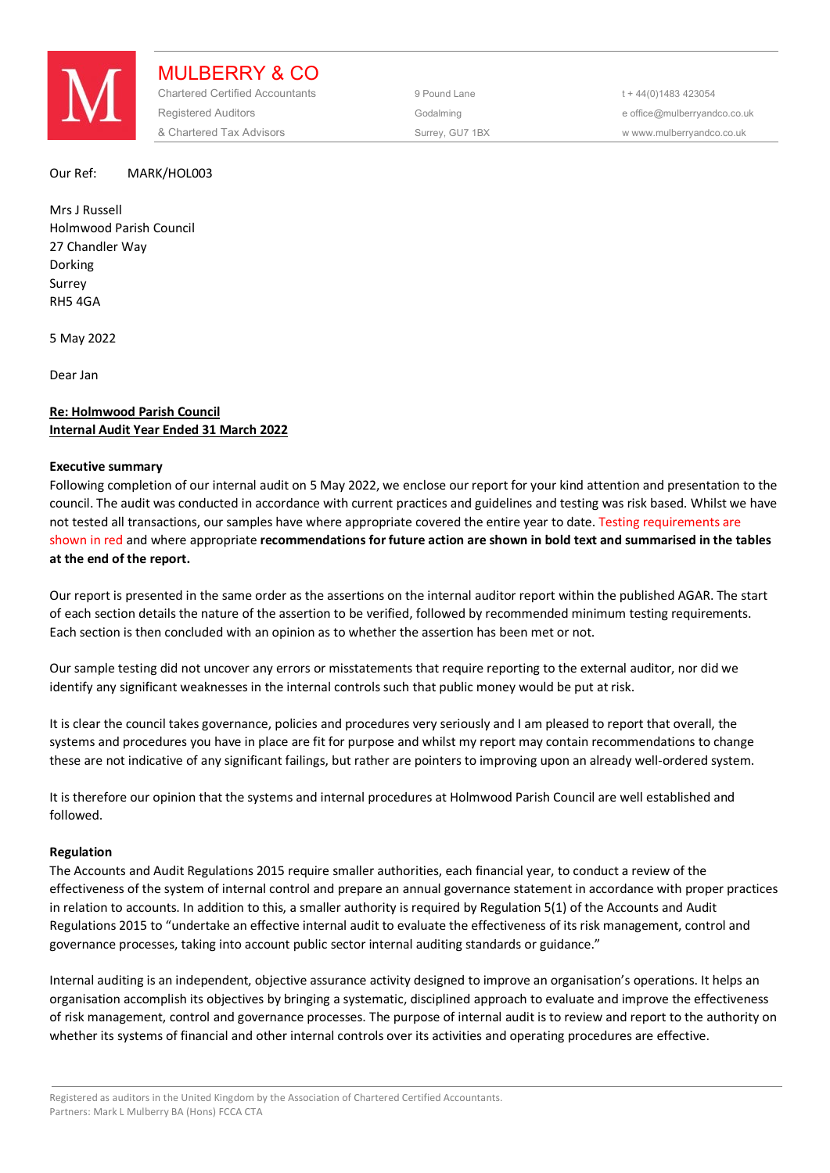

MULBERRY & CO Chartered Certified Accountants 9 Pound Lane 5 and the 44(0) 1483 423054 Registered Auditors and the Codalming Codalming and the office@mulberryandco.co.uk & Chartered Tax Advisors Surrey, GU7 1BX w www.mulberryandco.co.uk

#### Our Ref: MARK/HOL003

Mrs J Russell Holmwood Parish Council 27 Chandler Way Dorking Surrey RH5 4GA

5 May 2022

Dear Jan

# **Re: Holmwood Parish Council Internal Audit Year Ended 31 March 2022**

#### **Executive summary**

Following completion of our internal audit on 5 May 2022, we enclose our report for your kind attention and presentation to the council. The audit was conducted in accordance with current practices and guidelines and testing was risk based. Whilst we have not tested all transactions, our samples have where appropriate covered the entire year to date. Testing requirements are shown in red and where appropriate **recommendations for future action are shown in bold text and summarised in the tables at the end of the report.** 

Our report is presented in the same order as the assertions on the internal auditor report within the published AGAR. The start of each section details the nature of the assertion to be verified, followed by recommended minimum testing requirements. Each section is then concluded with an opinion as to whether the assertion has been met or not.

Our sample testing did not uncover any errors or misstatements that require reporting to the external auditor, nor did we identify any significant weaknesses in the internal controls such that public money would be put at risk.

It is clear the council takes governance, policies and procedures very seriously and I am pleased to report that overall, the systems and procedures you have in place are fit for purpose and whilst my report may contain recommendations to change these are not indicative of any significant failings, but rather are pointers to improving upon an already well-ordered system.

It is therefore our opinion that the systems and internal procedures at Holmwood Parish Council are well established and followed.

# **Regulation**

The Accounts and Audit Regulations 2015 require smaller authorities, each financial year, to conduct a review of the effectiveness of the system of internal control and prepare an annual governance statement in accordance with proper practices in relation to accounts. In addition to this, a smaller authority is required by Regulation 5(1) of the Accounts and Audit Regulations 2015 to "undertake an effective internal audit to evaluate the effectiveness of its risk management, control and governance processes, taking into account public sector internal auditing standards or guidance."

Internal auditing is an independent, objective assurance activity designed to improve an organisation's operations. It helps an organisation accomplish its objectives by bringing a systematic, disciplined approach to evaluate and improve the effectiveness of risk management, control and governance processes. The purpose of internal audit is to review and report to the authority on whether its systems of financial and other internal controls over its activities and operating procedures are effective.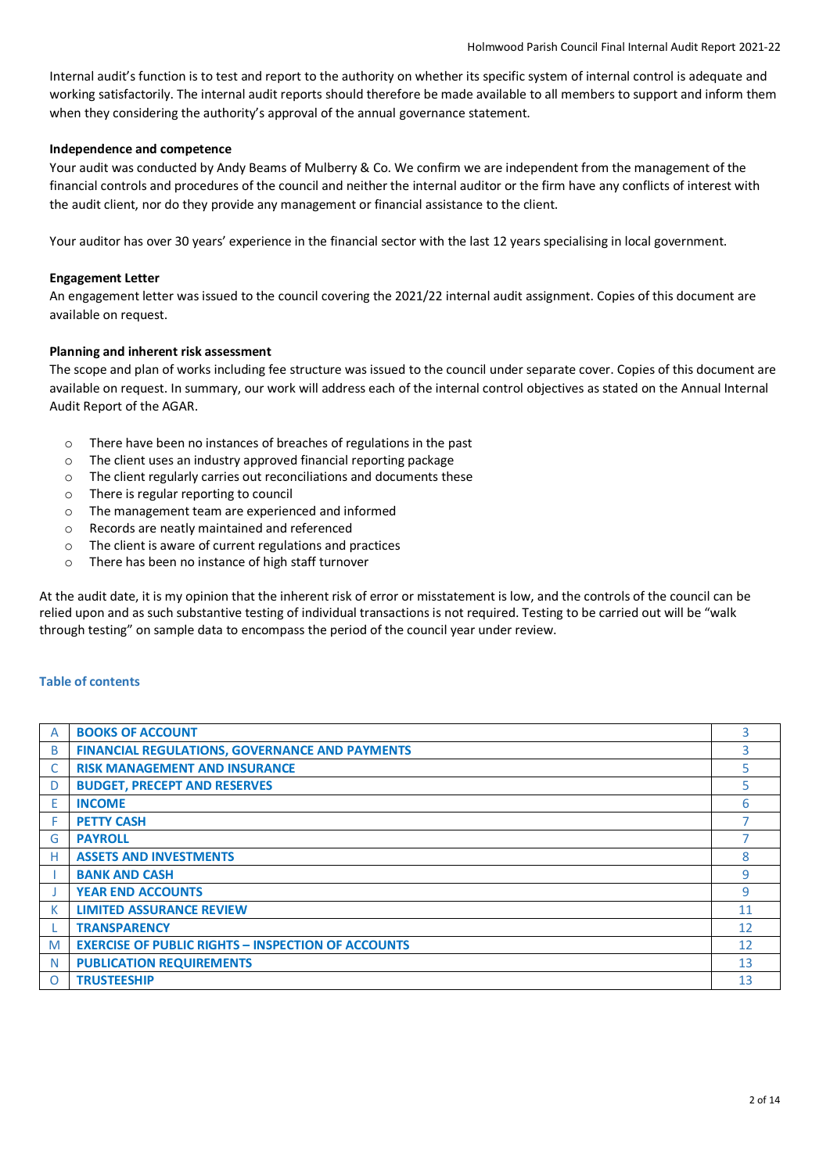Internal audit's function is to test and report to the authority on whether its specific system of internal control is adequate and working satisfactorily. The internal audit reports should therefore be made available to all members to support and inform them when they considering the authority's approval of the annual governance statement.

# **Independence and competence**

Your audit was conducted by Andy Beams of Mulberry & Co. We confirm we are independent from the management of the financial controls and procedures of the council and neither the internal auditor or the firm have any conflicts of interest with the audit client, nor do they provide any management or financial assistance to the client.

Your auditor has over 30 years' experience in the financial sector with the last 12 years specialising in local government.

# **Engagement Letter**

An engagement letter was issued to the council covering the 2021/22 internal audit assignment. Copies of this document are available on request.

# **Planning and inherent risk assessment**

The scope and plan of works including fee structure was issued to the council under separate cover. Copies of this document are available on request. In summary, our work will address each of the internal control objectives as stated on the Annual Internal Audit Report of the AGAR.

- o There have been no instances of breaches of regulations in the past
- o The client uses an industry approved financial reporting package
- o The client regularly carries out reconciliations and documents these
- o There is regular reporting to council
- o The management team are experienced and informed
- o Records are neatly maintained and referenced
- o The client is aware of current regulations and practices
- o There has been no instance of high staff turnover

At the audit date, it is my opinion that the inherent risk of error or misstatement is low, and the controls of the council can be relied upon and as such substantive testing of individual transactions is not required. Testing to be carried out will be "walk through testing" on sample data to encompass the period of the council year under review.

# **Table of contents**

| A        | <b>BOOKS OF ACCOUNT</b>                                   | 3  |
|----------|-----------------------------------------------------------|----|
| B        | <b>FINANCIAL REGULATIONS, GOVERNANCE AND PAYMENTS</b>     | 3  |
|          | <b>RISK MANAGEMENT AND INSURANCE</b>                      | 5. |
| D        | <b>BUDGET, PRECEPT AND RESERVES</b>                       | 5  |
| E        | <b>INCOME</b>                                             | 6  |
| F        | <b>PETTY CASH</b>                                         |    |
| G        | <b>PAYROLL</b>                                            |    |
| н        | <b>ASSETS AND INVESTMENTS</b>                             | 8  |
|          | <b>BANK AND CASH</b>                                      | 9  |
|          | <b>YEAR END ACCOUNTS</b>                                  | 9  |
| К        | <b>LIMITED ASSURANCE REVIEW</b>                           | 11 |
|          | <b>TRANSPARENCY</b>                                       | 12 |
| M        | <b>EXERCISE OF PUBLIC RIGHTS - INSPECTION OF ACCOUNTS</b> | 12 |
| N        | <b>PUBLICATION REQUIREMENTS</b>                           | 13 |
| $\Omega$ | <b>TRUSTEESHIP</b>                                        | 13 |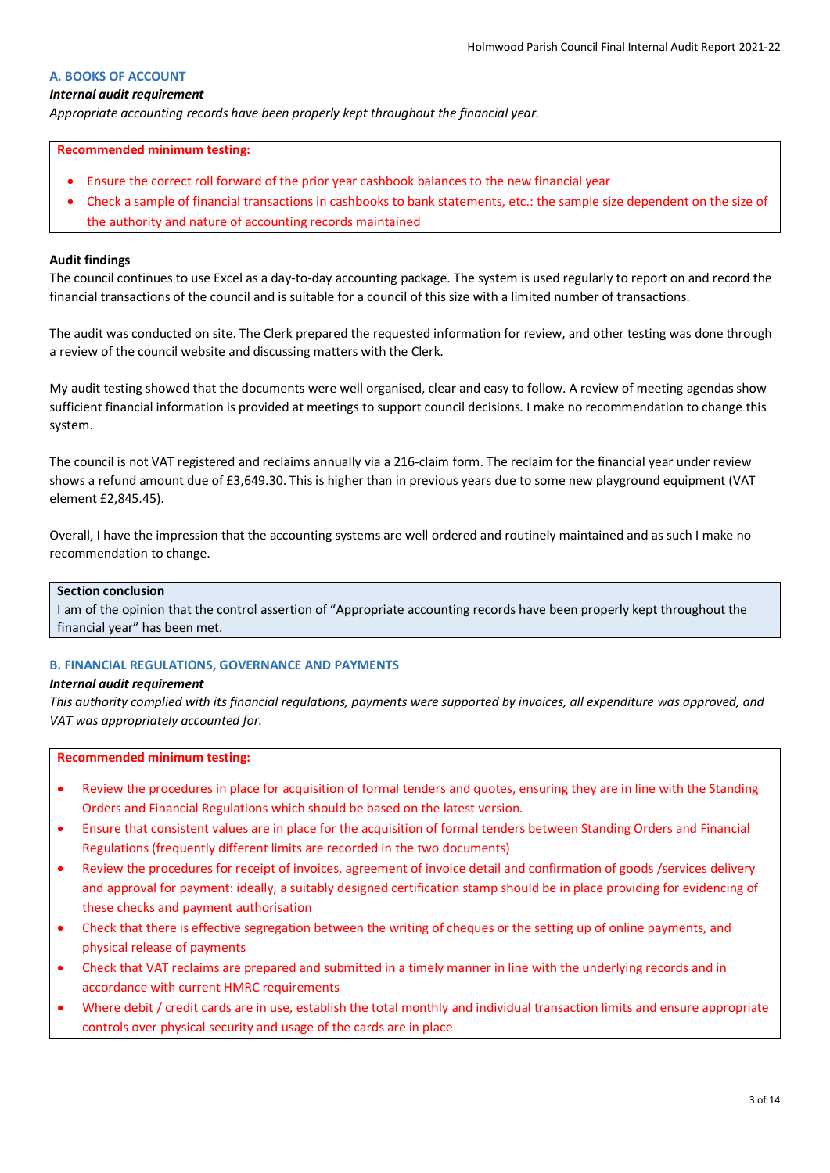### **A. BOOKS OF ACCOUNT**

#### *Internal audit requirement*

*Appropriate accounting records have been properly kept throughout the financial year.*

#### **Recommended minimum testing:**

- Ensure the correct roll forward of the prior year cashbook balances to the new financial year
- Check a sample of financial transactions in cashbooks to bank statements, etc.: the sample size dependent on the size of the authority and nature of accounting records maintained

#### **Audit findings**

The council continues to use Excel as a day-to-day accounting package. The system is used regularly to report on and record the financial transactions of the council and is suitable for a council of this size with a limited number of transactions.

The audit was conducted on site. The Clerk prepared the requested information for review, and other testing was done through a review of the council website and discussing matters with the Clerk.

My audit testing showed that the documents were well organised, clear and easy to follow. A review of meeting agendas show sufficient financial information is provided at meetings to support council decisions. I make no recommendation to change this system.

The council is not VAT registered and reclaims annually via a 216-claim form. The reclaim for the financial year under review shows a refund amount due of £3,649.30. This is higher than in previous years due to some new playground equipment (VAT element £2,845.45).

Overall, I have the impression that the accounting systems are well ordered and routinely maintained and as such I make no recommendation to change.

# **Section conclusion**

I am of the opinion that the control assertion of "Appropriate accounting records have been properly kept throughout the financial year" has been met.

#### **B. FINANCIAL REGULATIONS, GOVERNANCE AND PAYMENTS**

#### *Internal audit requirement*

*This authority complied with its financial regulations, payments were supported by invoices, all expenditure was approved, and VAT was appropriately accounted for.*

- Review the procedures in place for acquisition of formal tenders and quotes, ensuring they are in line with the Standing Orders and Financial Regulations which should be based on the latest version.
- Ensure that consistent values are in place for the acquisition of formal tenders between Standing Orders and Financial Regulations (frequently different limits are recorded in the two documents)
- Review the procedures for receipt of invoices, agreement of invoice detail and confirmation of goods /services delivery and approval for payment: ideally, a suitably designed certification stamp should be in place providing for evidencing of these checks and payment authorisation
- Check that there is effective segregation between the writing of cheques or the setting up of online payments, and physical release of payments
- Check that VAT reclaims are prepared and submitted in a timely manner in line with the underlying records and in accordance with current HMRC requirements
- Where debit / credit cards are in use, establish the total monthly and individual transaction limits and ensure appropriate controls over physical security and usage of the cards are in place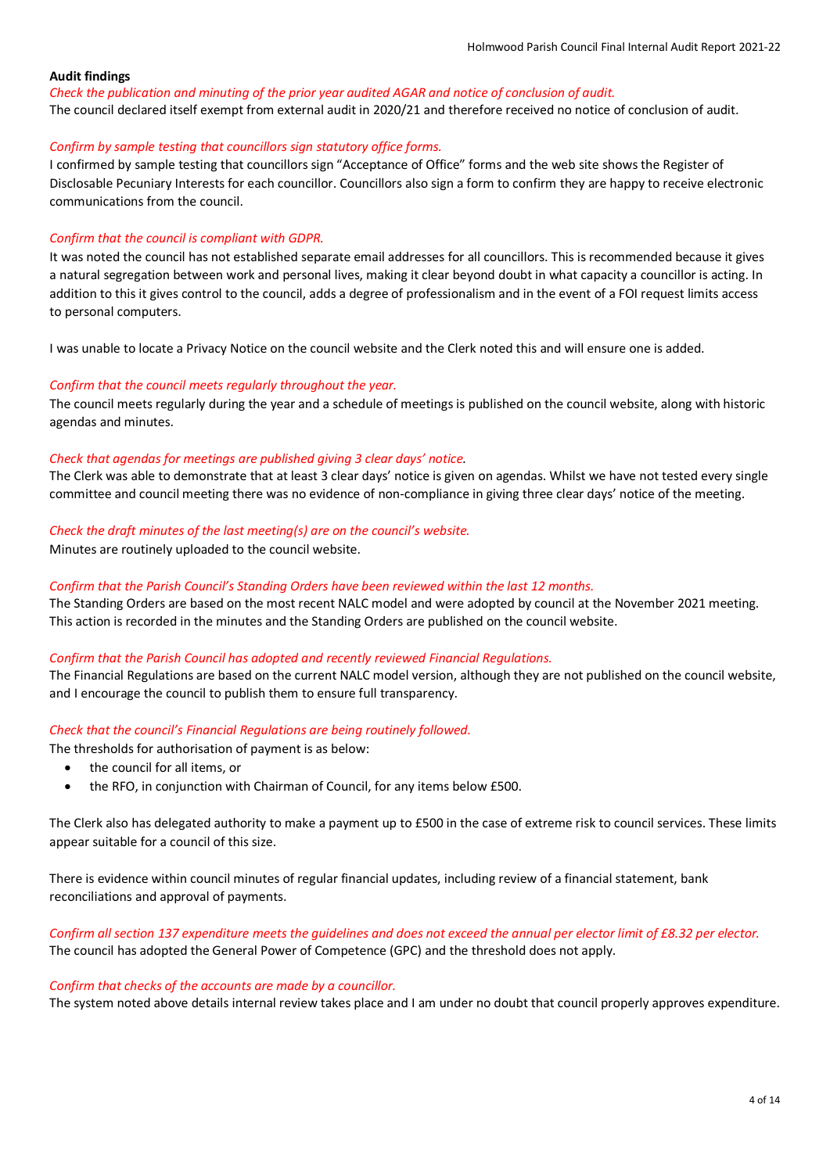*Check the publication and minuting of the prior year audited AGAR and notice of conclusion of audit.*

The council declared itself exempt from external audit in 2020/21 and therefore received no notice of conclusion of audit.

#### *Confirm by sample testing that councillors sign statutory office forms.*

I confirmed by sample testing that councillors sign "Acceptance of Office" forms and the web site shows the Register of Disclosable Pecuniary Interests for each councillor. Councillors also sign a form to confirm they are happy to receive electronic communications from the council.

# *Confirm that the council is compliant with GDPR.*

It was noted the council has not established separate email addresses for all councillors. This is recommended because it gives a natural segregation between work and personal lives, making it clear beyond doubt in what capacity a councillor is acting. In addition to this it gives control to the council, adds a degree of professionalism and in the event of a FOI request limits access to personal computers.

I was unable to locate a Privacy Notice on the council website and the Clerk noted this and will ensure one is added.

# *Confirm that the council meets regularly throughout the year.*

The council meets regularly during the year and a schedule of meetings is published on the council website, along with historic agendas and minutes.

# *Check that agendas for meetings are published giving 3 clear days' notice.*

The Clerk was able to demonstrate that at least 3 clear days' notice is given on agendas. Whilst we have not tested every single committee and council meeting there was no evidence of non-compliance in giving three clear days' notice of the meeting.

#### *Check the draft minutes of the last meeting(s) are on the council's website.*

Minutes are routinely uploaded to the council website.

#### *Confirm that the Parish Council's Standing Orders have been reviewed within the last 12 months.*

The Standing Orders are based on the most recent NALC model and were adopted by council at the November 2021 meeting. This action is recorded in the minutes and the Standing Orders are published on the council website.

#### *Confirm that the Parish Council has adopted and recently reviewed Financial Regulations.*

The Financial Regulations are based on the current NALC model version, although they are not published on the council website, and I encourage the council to publish them to ensure full transparency.

# *Check that the council's Financial Regulations are being routinely followed.*

The thresholds for authorisation of payment is as below:

- the council for all items, or
- the RFO, in conjunction with Chairman of Council, for any items below £500.

The Clerk also has delegated authority to make a payment up to £500 in the case of extreme risk to council services. These limits appear suitable for a council of this size.

There is evidence within council minutes of regular financial updates, including review of a financial statement, bank reconciliations and approval of payments.

*Confirm all section 137 expenditure meets the guidelines and does not exceed the annual per elector limit of £8.32 per elector.* The council has adopted the General Power of Competence (GPC) and the threshold does not apply.

#### *Confirm that checks of the accounts are made by a councillor.*

The system noted above details internal review takes place and I am under no doubt that council properly approves expenditure.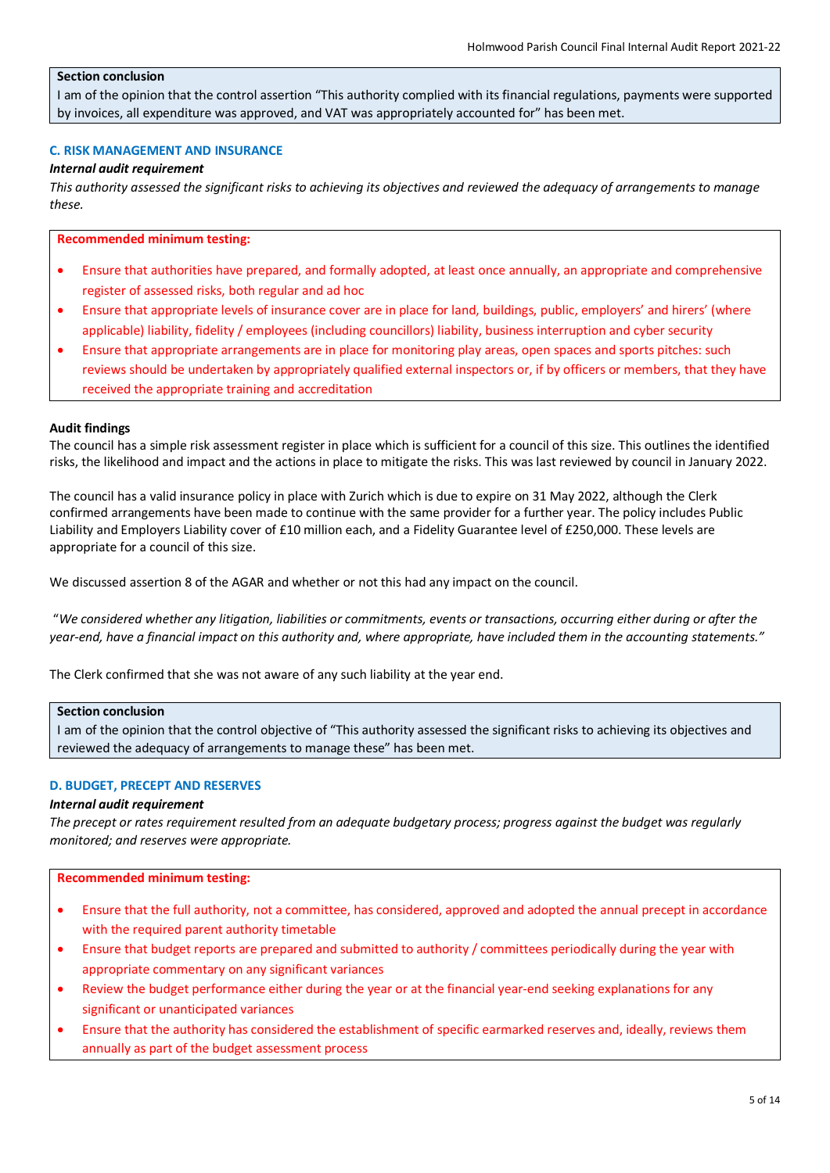# **Section conclusion**

I am of the opinion that the control assertion "This authority complied with its financial regulations, payments were supported by invoices, all expenditure was approved, and VAT was appropriately accounted for" has been met.

#### **C. RISK MANAGEMENT AND INSURANCE**

#### *Internal audit requirement*

*This authority assessed the significant risks to achieving its objectives and reviewed the adequacy of arrangements to manage these.*

#### **Recommended minimum testing:**

- Ensure that authorities have prepared, and formally adopted, at least once annually, an appropriate and comprehensive register of assessed risks, both regular and ad hoc
- Ensure that appropriate levels of insurance cover are in place for land, buildings, public, employers' and hirers' (where applicable) liability, fidelity / employees (including councillors) liability, business interruption and cyber security
- Ensure that appropriate arrangements are in place for monitoring play areas, open spaces and sports pitches: such reviews should be undertaken by appropriately qualified external inspectors or, if by officers or members, that they have received the appropriate training and accreditation

#### **Audit findings**

The council has a simple risk assessment register in place which is sufficient for a council of this size. This outlines the identified risks, the likelihood and impact and the actions in place to mitigate the risks. This was last reviewed by council in January 2022.

The council has a valid insurance policy in place with Zurich which is due to expire on 31 May 2022, although the Clerk confirmed arrangements have been made to continue with the same provider for a further year. The policy includes Public Liability and Employers Liability cover of £10 million each, and a Fidelity Guarantee level of £250,000. These levels are appropriate for a council of this size.

We discussed assertion 8 of the AGAR and whether or not this had any impact on the council.

 "*We considered whether any litigation, liabilities or commitments, events or transactions, occurring either during or after the year-end, have a financial impact on this authority and, where appropriate, have included them in the accounting statements."*

The Clerk confirmed that she was not aware of any such liability at the year end.

# **Section conclusion**

I am of the opinion that the control objective of "This authority assessed the significant risks to achieving its objectives and reviewed the adequacy of arrangements to manage these" has been met.

# **D. BUDGET, PRECEPT AND RESERVES**

## *Internal audit requirement*

*The precept or rates requirement resulted from an adequate budgetary process; progress against the budget was regularly monitored; and reserves were appropriate.*

- Ensure that the full authority, not a committee, has considered, approved and adopted the annual precept in accordance with the required parent authority timetable
- Ensure that budget reports are prepared and submitted to authority / committees periodically during the year with appropriate commentary on any significant variances
- Review the budget performance either during the year or at the financial year-end seeking explanations for any significant or unanticipated variances
- Ensure that the authority has considered the establishment of specific earmarked reserves and, ideally, reviews them annually as part of the budget assessment process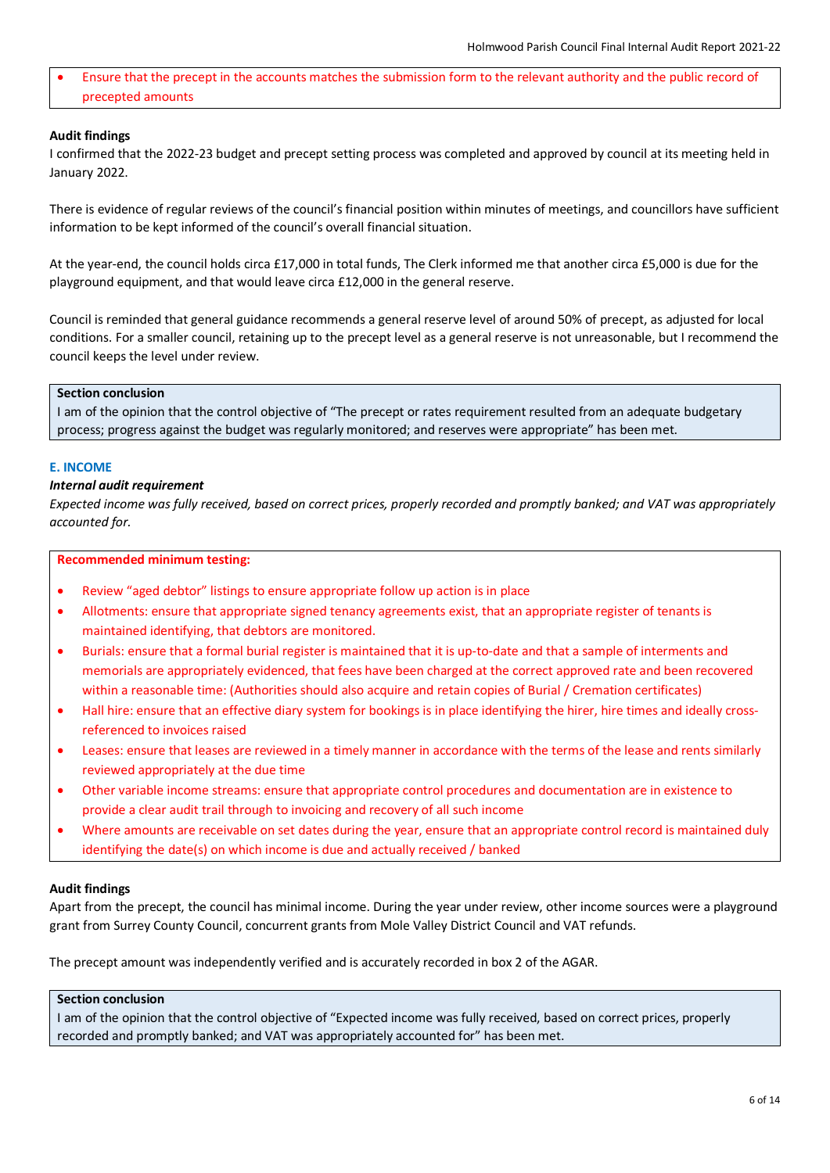• Ensure that the precept in the accounts matches the submission form to the relevant authority and the public record of precepted amounts

## **Audit findings**

I confirmed that the 2022-23 budget and precept setting process was completed and approved by council at its meeting held in January 2022.

There is evidence of regular reviews of the council's financial position within minutes of meetings, and councillors have sufficient information to be kept informed of the council's overall financial situation.

At the year-end, the council holds circa £17,000 in total funds, The Clerk informed me that another circa £5,000 is due for the playground equipment, and that would leave circa £12,000 in the general reserve.

Council is reminded that general guidance recommends a general reserve level of around 50% of precept, as adjusted for local conditions. For a smaller council, retaining up to the precept level as a general reserve is not unreasonable, but I recommend the council keeps the level under review.

# **Section conclusion**

I am of the opinion that the control objective of "The precept or rates requirement resulted from an adequate budgetary process; progress against the budget was regularly monitored; and reserves were appropriate" has been met.

#### **E. INCOME**

## *Internal audit requirement*

*Expected income was fully received, based on correct prices, properly recorded and promptly banked; and VAT was appropriately accounted for.*

#### **Recommended minimum testing:**

- Review "aged debtor" listings to ensure appropriate follow up action is in place
- Allotments: ensure that appropriate signed tenancy agreements exist, that an appropriate register of tenants is maintained identifying, that debtors are monitored.
- Burials: ensure that a formal burial register is maintained that it is up-to-date and that a sample of interments and memorials are appropriately evidenced, that fees have been charged at the correct approved rate and been recovered within a reasonable time: (Authorities should also acquire and retain copies of Burial / Cremation certificates)
- Hall hire: ensure that an effective diary system for bookings is in place identifying the hirer, hire times and ideally crossreferenced to invoices raised
- Leases: ensure that leases are reviewed in a timely manner in accordance with the terms of the lease and rents similarly reviewed appropriately at the due time
- Other variable income streams: ensure that appropriate control procedures and documentation are in existence to provide a clear audit trail through to invoicing and recovery of all such income
- Where amounts are receivable on set dates during the year, ensure that an appropriate control record is maintained duly identifying the date(s) on which income is due and actually received / banked

#### **Audit findings**

Apart from the precept, the council has minimal income. During the year under review, other income sources were a playground grant from Surrey County Council, concurrent grants from Mole Valley District Council and VAT refunds.

The precept amount was independently verified and is accurately recorded in box 2 of the AGAR.

# **Section conclusion**

I am of the opinion that the control objective of "Expected income was fully received, based on correct prices, properly recorded and promptly banked; and VAT was appropriately accounted for" has been met.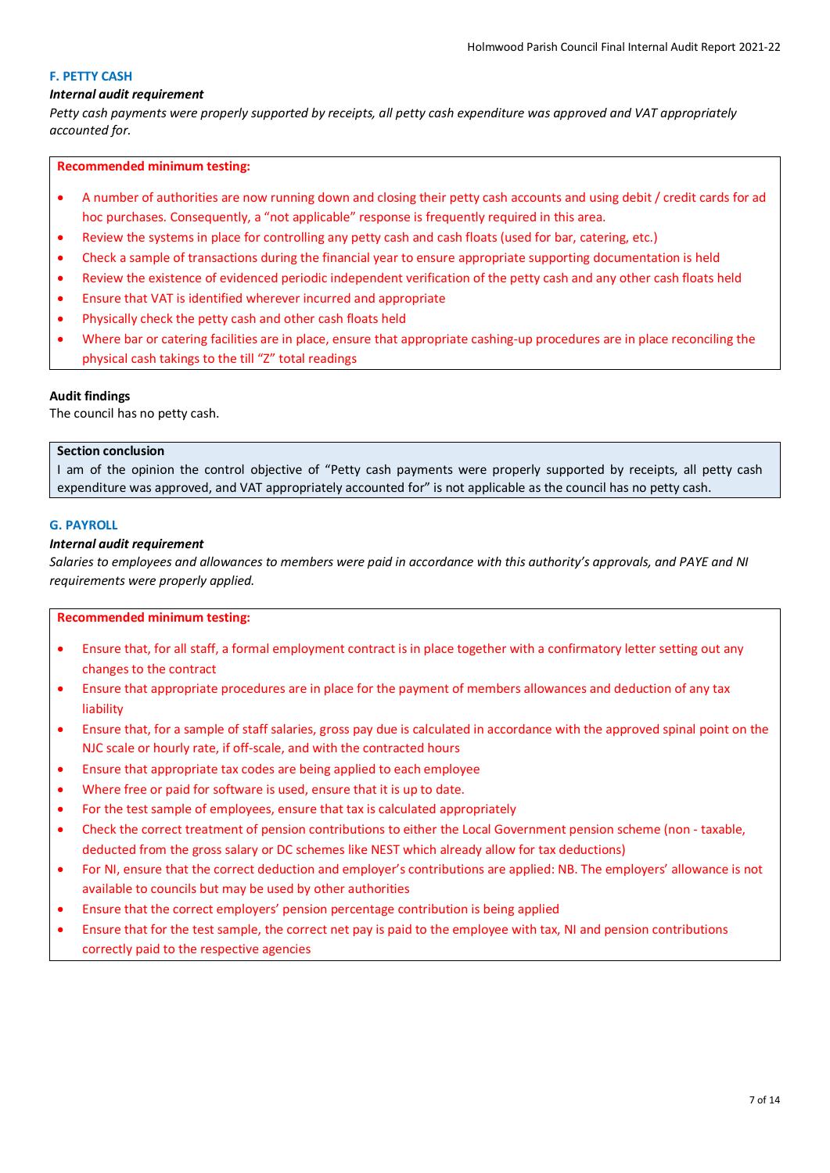# **F. PETTY CASH**

# *Internal audit requirement*

*Petty cash payments were properly supported by receipts, all petty cash expenditure was approved and VAT appropriately accounted for.*

# **Recommended minimum testing:**

- A number of authorities are now running down and closing their petty cash accounts and using debit / credit cards for ad hoc purchases. Consequently, a "not applicable" response is frequently required in this area.
- Review the systems in place for controlling any petty cash and cash floats (used for bar, catering, etc.)
- Check a sample of transactions during the financial year to ensure appropriate supporting documentation is held
- Review the existence of evidenced periodic independent verification of the petty cash and any other cash floats held
- Ensure that VAT is identified wherever incurred and appropriate
- Physically check the petty cash and other cash floats held
- Where bar or catering facilities are in place, ensure that appropriate cashing-up procedures are in place reconciling the physical cash takings to the till "Z" total readings

# **Audit findings**

The council has no petty cash.

# **Section conclusion**

I am of the opinion the control objective of "Petty cash payments were properly supported by receipts, all petty cash expenditure was approved, and VAT appropriately accounted for" is not applicable as the council has no petty cash.

# **G. PAYROLL**

# *Internal audit requirement*

*Salaries to employees and allowances to members were paid in accordance with this authority's approvals, and PAYE and NI requirements were properly applied.*

- Ensure that, for all staff, a formal employment contract is in place together with a confirmatory letter setting out any changes to the contract
- Ensure that appropriate procedures are in place for the payment of members allowances and deduction of any tax liability
- Ensure that, for a sample of staff salaries, gross pay due is calculated in accordance with the approved spinal point on the NJC scale or hourly rate, if off-scale, and with the contracted hours
- Ensure that appropriate tax codes are being applied to each employee
- Where free or paid for software is used, ensure that it is up to date.
- For the test sample of employees, ensure that tax is calculated appropriately
- Check the correct treatment of pension contributions to either the Local Government pension scheme (non taxable, deducted from the gross salary or DC schemes like NEST which already allow for tax deductions)
- For NI, ensure that the correct deduction and employer's contributions are applied: NB. The employers' allowance is not available to councils but may be used by other authorities
- Ensure that the correct employers' pension percentage contribution is being applied
- Ensure that for the test sample, the correct net pay is paid to the employee with tax, NI and pension contributions correctly paid to the respective agencies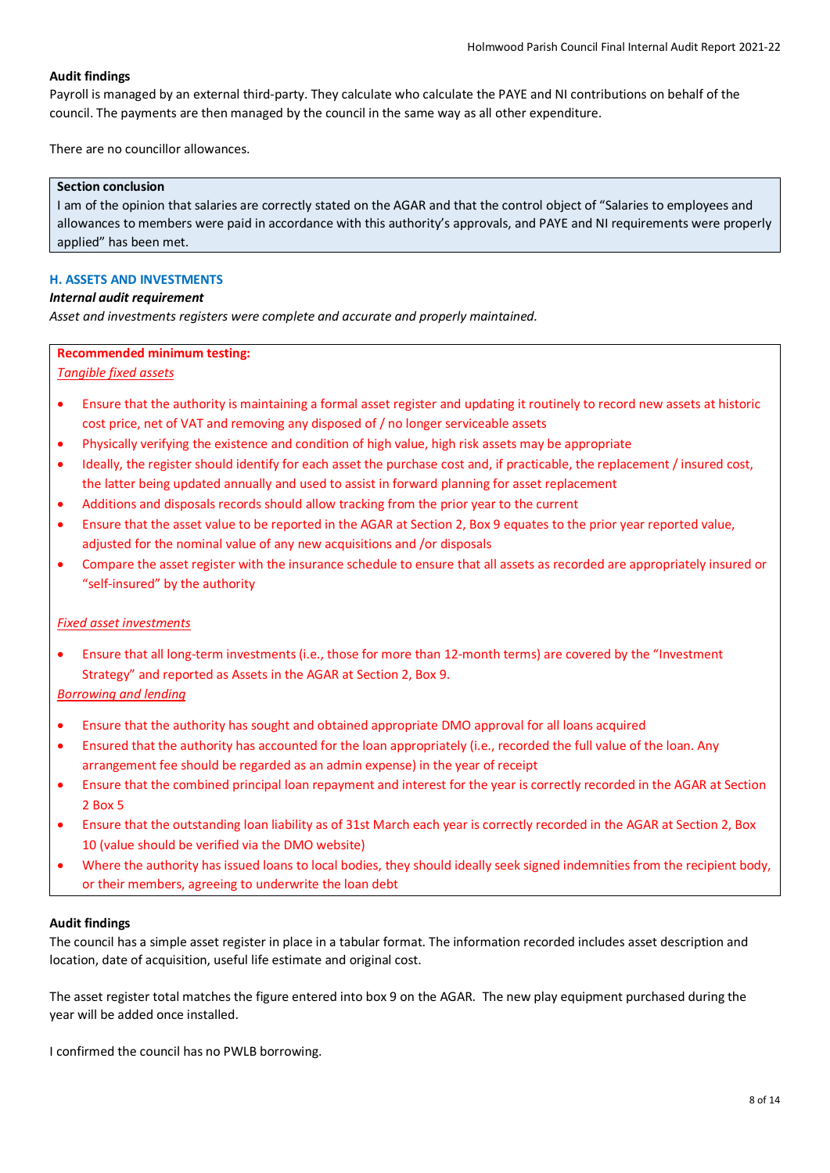Payroll is managed by an external third-party. They calculate who calculate the PAYE and NI contributions on behalf of the council. The payments are then managed by the council in the same way as all other expenditure.

There are no councillor allowances.

#### **Section conclusion**

I am of the opinion that salaries are correctly stated on the AGAR and that the control object of "Salaries to employees and allowances to members were paid in accordance with this authority's approvals, and PAYE and NI requirements were properly applied" has been met.

## **H. ASSETS AND INVESTMENTS**

## *Internal audit requirement*

*Asset and investments registers were complete and accurate and properly maintained.*

# **Recommended minimum testing:**

# *Tangible fixed assets*

- Ensure that the authority is maintaining a formal asset register and updating it routinely to record new assets at historic cost price, net of VAT and removing any disposed of / no longer serviceable assets
- Physically verifying the existence and condition of high value, high risk assets may be appropriate
- Ideally, the register should identify for each asset the purchase cost and, if practicable, the replacement / insured cost, the latter being updated annually and used to assist in forward planning for asset replacement
- Additions and disposals records should allow tracking from the prior year to the current
- Ensure that the asset value to be reported in the AGAR at Section 2, Box 9 equates to the prior year reported value, adjusted for the nominal value of any new acquisitions and /or disposals
- Compare the asset register with the insurance schedule to ensure that all assets as recorded are appropriately insured or "self-insured" by the authority

# *Fixed asset investments*

• Ensure that all long-term investments (i.e., those for more than 12-month terms) are covered by the "Investment Strategy" and reported as Assets in the AGAR at Section 2, Box 9.

# *Borrowing and lending*

- Ensure that the authority has sought and obtained appropriate DMO approval for all loans acquired
- Ensured that the authority has accounted for the loan appropriately (i.e., recorded the full value of the loan. Any arrangement fee should be regarded as an admin expense) in the year of receipt
- Ensure that the combined principal loan repayment and interest for the year is correctly recorded in the AGAR at Section 2 Box 5
- Ensure that the outstanding loan liability as of 31st March each year is correctly recorded in the AGAR at Section 2, Box 10 (value should be verified via the DMO website)
- Where the authority has issued loans to local bodies, they should ideally seek signed indemnities from the recipient body, or their members, agreeing to underwrite the loan debt

# **Audit findings**

The council has a simple asset register in place in a tabular format. The information recorded includes asset description and location, date of acquisition, useful life estimate and original cost.

The asset register total matches the figure entered into box 9 on the AGAR. The new play equipment purchased during the year will be added once installed.

I confirmed the council has no PWLB borrowing.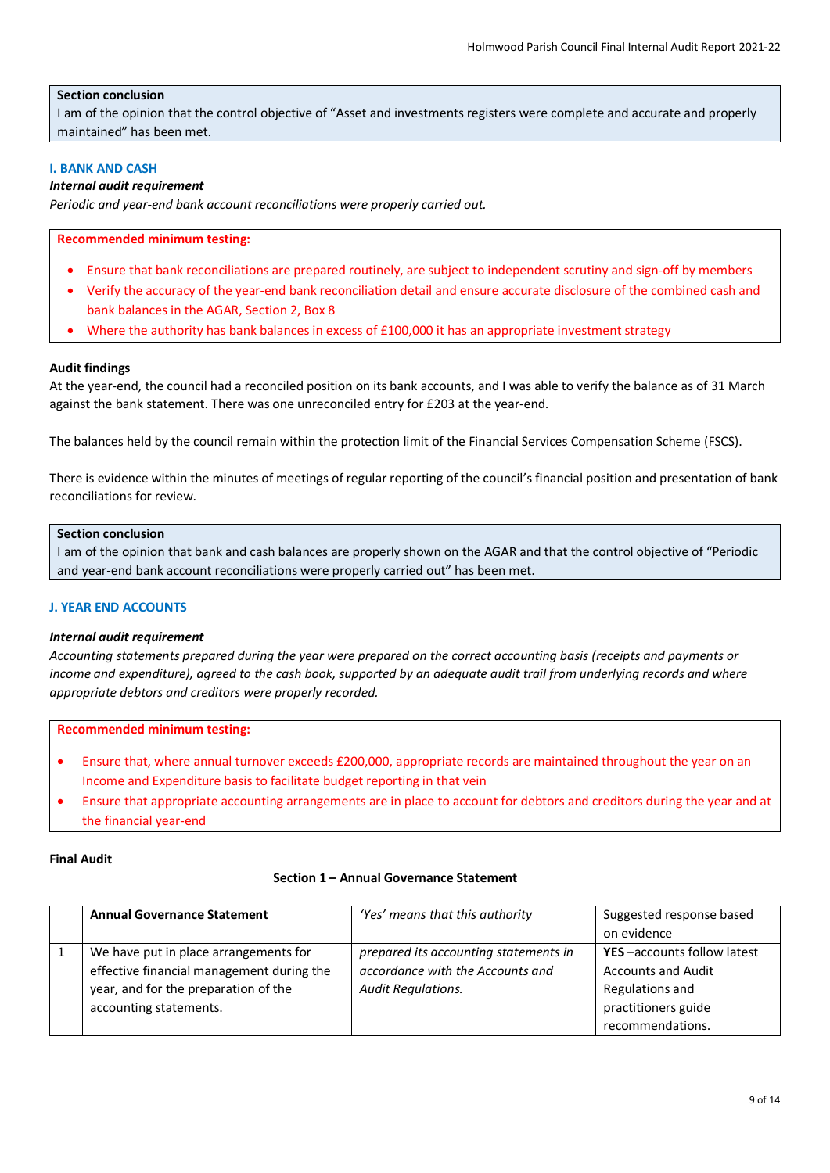# **Section conclusion**

I am of the opinion that the control objective of "Asset and investments registers were complete and accurate and properly maintained" has been met.

# **I. BANK AND CASH**

# *Internal audit requirement*

*Periodic and year-end bank account reconciliations were properly carried out.*

#### **Recommended minimum testing:**

- Ensure that bank reconciliations are prepared routinely, are subject to independent scrutiny and sign-off by members
- Verify the accuracy of the year-end bank reconciliation detail and ensure accurate disclosure of the combined cash and bank balances in the AGAR, Section 2, Box 8
- Where the authority has bank balances in excess of £100,000 it has an appropriate investment strategy

#### **Audit findings**

At the year-end, the council had a reconciled position on its bank accounts, and I was able to verify the balance as of 31 March against the bank statement. There was one unreconciled entry for £203 at the year-end.

The balances held by the council remain within the protection limit of the Financial Services Compensation Scheme (FSCS).

There is evidence within the minutes of meetings of regular reporting of the council's financial position and presentation of bank reconciliations for review.

#### **Section conclusion**

I am of the opinion that bank and cash balances are properly shown on the AGAR and that the control objective of "Periodic and year-end bank account reconciliations were properly carried out" has been met.

#### **J. YEAR END ACCOUNTS**

#### *Internal audit requirement*

*Accounting statements prepared during the year were prepared on the correct accounting basis (receipts and payments or income and expenditure), agreed to the cash book, supported by an adequate audit trail from underlying records and where appropriate debtors and creditors were properly recorded.*

#### **Recommended minimum testing:**

- Ensure that, where annual turnover exceeds £200,000, appropriate records are maintained throughout the year on an Income and Expenditure basis to facilitate budget reporting in that vein
- Ensure that appropriate accounting arrangements are in place to account for debtors and creditors during the year and at the financial year-end

#### **Final Audit**

#### **Section 1 – Annual Governance Statement**

| <b>Annual Governance Statement</b>        | 'Yes' means that this authority       | Suggested response based   |
|-------------------------------------------|---------------------------------------|----------------------------|
|                                           |                                       | on evidence                |
| We have put in place arrangements for     | prepared its accounting statements in | YES-accounts follow latest |
| effective financial management during the | accordance with the Accounts and      | <b>Accounts and Audit</b>  |
| year, and for the preparation of the      | <b>Audit Regulations.</b>             | Regulations and            |
| accounting statements.                    |                                       | practitioners guide        |
|                                           |                                       | recommendations.           |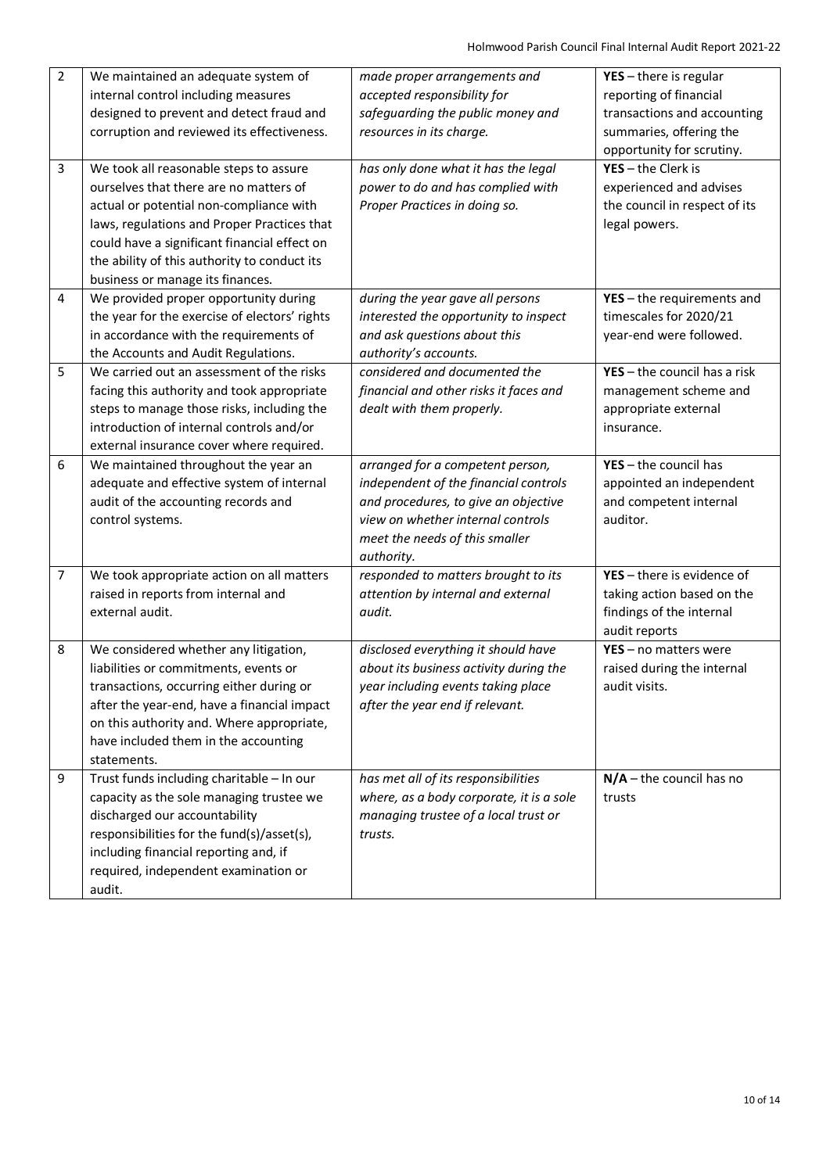| $\overline{2}$ | We maintained an adequate system of           | made proper arrangements and             | $YES - there$ is regular       |
|----------------|-----------------------------------------------|------------------------------------------|--------------------------------|
|                | internal control including measures           | accepted responsibility for              | reporting of financial         |
|                | designed to prevent and detect fraud and      | safeguarding the public money and        | transactions and accounting    |
|                | corruption and reviewed its effectiveness.    | resources in its charge.                 | summaries, offering the        |
|                |                                               |                                          | opportunity for scrutiny.      |
| $\overline{3}$ | We took all reasonable steps to assure        | has only done what it has the legal      | $YES - the Clerk is$           |
|                | ourselves that there are no matters of        | power to do and has complied with        | experienced and advises        |
|                | actual or potential non-compliance with       | Proper Practices in doing so.            | the council in respect of its  |
|                | laws, regulations and Proper Practices that   |                                          | legal powers.                  |
|                | could have a significant financial effect on  |                                          |                                |
|                | the ability of this authority to conduct its  |                                          |                                |
|                | business or manage its finances.              |                                          |                                |
| 4              | We provided proper opportunity during         | during the year gave all persons         | $YES - the requirements$ and   |
|                | the year for the exercise of electors' rights | interested the opportunity to inspect    | timescales for 2020/21         |
|                | in accordance with the requirements of        | and ask questions about this             | year-end were followed.        |
|                | the Accounts and Audit Regulations.           | authority's accounts.                    |                                |
| 5              | We carried out an assessment of the risks     | considered and documented the            | $YES - the council has a risk$ |
|                | facing this authority and took appropriate    | financial and other risks it faces and   | management scheme and          |
|                | steps to manage those risks, including the    | dealt with them properly.                | appropriate external           |
|                | introduction of internal controls and/or      |                                          | insurance.                     |
|                | external insurance cover where required.      |                                          |                                |
| 6              | We maintained throughout the year an          | arranged for a competent person,         | $YES - the council has$        |
|                | adequate and effective system of internal     | independent of the financial controls    | appointed an independent       |
|                | audit of the accounting records and           | and procedures, to give an objective     | and competent internal         |
|                | control systems.                              | view on whether internal controls        | auditor.                       |
|                |                                               | meet the needs of this smaller           |                                |
|                |                                               | authority.                               |                                |
| 7              | We took appropriate action on all matters     | responded to matters brought to its      | YES - there is evidence of     |
|                | raised in reports from internal and           | attention by internal and external       | taking action based on the     |
|                | external audit.                               | audit.                                   | findings of the internal       |
|                |                                               |                                          | audit reports                  |
| 8              | We considered whether any litigation,         | disclosed everything it should have      | $YES - no$ matters were        |
|                | liabilities or commitments, events or         | about its business activity during the   | raised during the internal     |
|                | transactions, occurring either during or      | year including events taking place       | audit visits.                  |
|                | after the year-end, have a financial impact   | after the year end if relevant.          |                                |
|                | on this authority and. Where appropriate,     |                                          |                                |
|                | have included them in the accounting          |                                          |                                |
|                | statements.                                   |                                          |                                |
| 9              | Trust funds including charitable - In our     | has met all of its responsibilities      | $N/A$ – the council has no     |
|                | capacity as the sole managing trustee we      | where, as a body corporate, it is a sole | trusts                         |
|                | discharged our accountability                 | managing trustee of a local trust or     |                                |
|                | responsibilities for the fund(s)/asset(s),    | trusts.                                  |                                |
|                | including financial reporting and, if         |                                          |                                |
|                | required, independent examination or          |                                          |                                |
|                | audit.                                        |                                          |                                |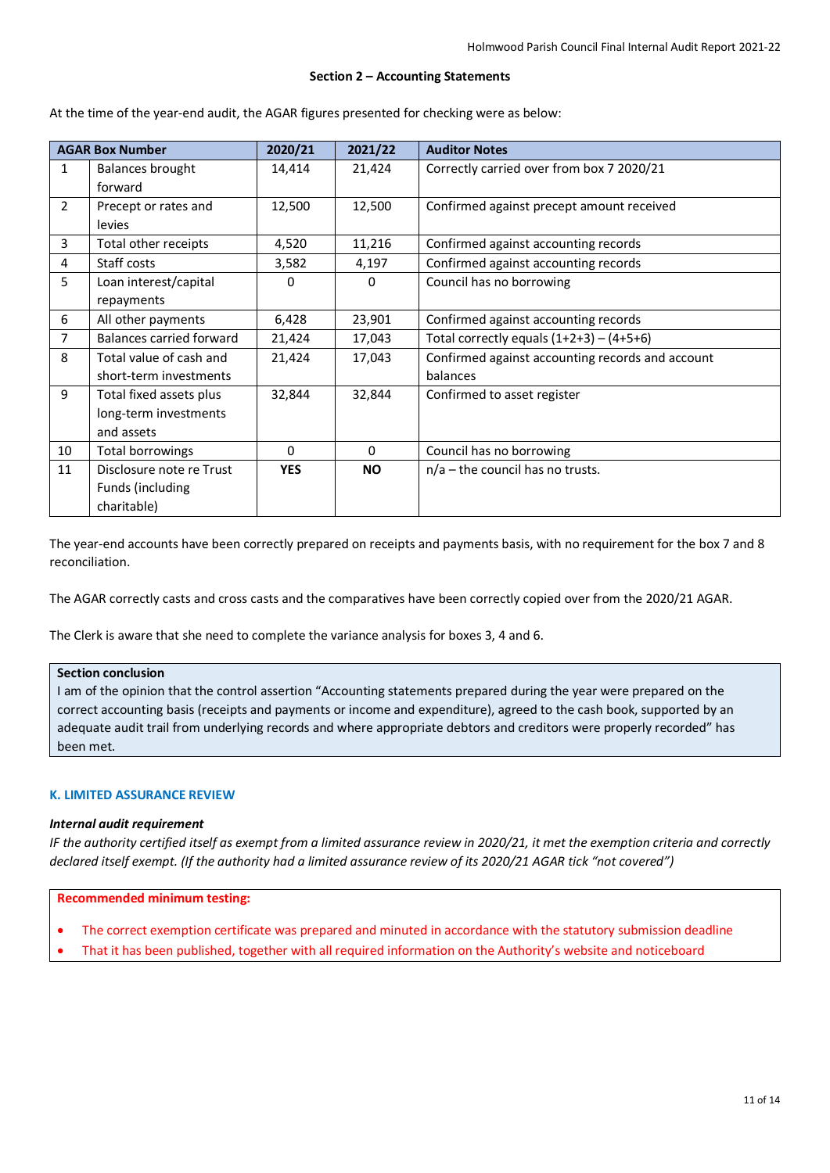#### **Section 2 – Accounting Statements**

At the time of the year-end audit, the AGAR figures presented for checking were as below:

| <b>AGAR Box Number</b> |                          | 2020/21    | 2021/22   | <b>Auditor Notes</b>                             |
|------------------------|--------------------------|------------|-----------|--------------------------------------------------|
| 1                      | Balances brought         | 14,414     | 21,424    | Correctly carried over from box 7 2020/21        |
|                        | forward                  |            |           |                                                  |
| $\overline{2}$         | Precept or rates and     | 12,500     | 12,500    | Confirmed against precept amount received        |
|                        | levies                   |            |           |                                                  |
| 3                      | Total other receipts     | 4,520      | 11,216    | Confirmed against accounting records             |
| 4                      | Staff costs              | 3,582      | 4,197     | Confirmed against accounting records             |
| 5                      | Loan interest/capital    | $\Omega$   | 0         | Council has no borrowing                         |
|                        | repayments               |            |           |                                                  |
| 6                      | All other payments       | 6,428      | 23,901    | Confirmed against accounting records             |
| 7                      | Balances carried forward | 21,424     | 17,043    | Total correctly equals $(1+2+3) - (4+5+6)$       |
| 8                      | Total value of cash and  | 21,424     | 17,043    | Confirmed against accounting records and account |
|                        | short-term investments   |            |           | balances                                         |
| 9                      | Total fixed assets plus  | 32,844     | 32,844    | Confirmed to asset register                      |
|                        | long-term investments    |            |           |                                                  |
|                        | and assets               |            |           |                                                  |
| 10                     | Total borrowings         | 0          | $\Omega$  | Council has no borrowing                         |
| 11                     | Disclosure note re Trust | <b>YES</b> | <b>NO</b> | $n/a$ – the council has no trusts.               |
|                        | Funds (including         |            |           |                                                  |
|                        | charitable)              |            |           |                                                  |

The year-end accounts have been correctly prepared on receipts and payments basis, with no requirement for the box 7 and 8 reconciliation.

The AGAR correctly casts and cross casts and the comparatives have been correctly copied over from the 2020/21 AGAR.

The Clerk is aware that she need to complete the variance analysis for boxes 3, 4 and 6.

#### **Section conclusion**

I am of the opinion that the control assertion "Accounting statements prepared during the year were prepared on the correct accounting basis (receipts and payments or income and expenditure), agreed to the cash book, supported by an adequate audit trail from underlying records and where appropriate debtors and creditors were properly recorded" has been met.

#### **K. LIMITED ASSURANCE REVIEW**

#### *Internal audit requirement*

*IF the authority certified itself as exempt from a limited assurance review in 2020/21, it met the exemption criteria and correctly declared itself exempt. (If the authority had a limited assurance review of its 2020/21 AGAR tick "not covered")*

- The correct exemption certificate was prepared and minuted in accordance with the statutory submission deadline
- That it has been published, together with all required information on the Authority's website and noticeboard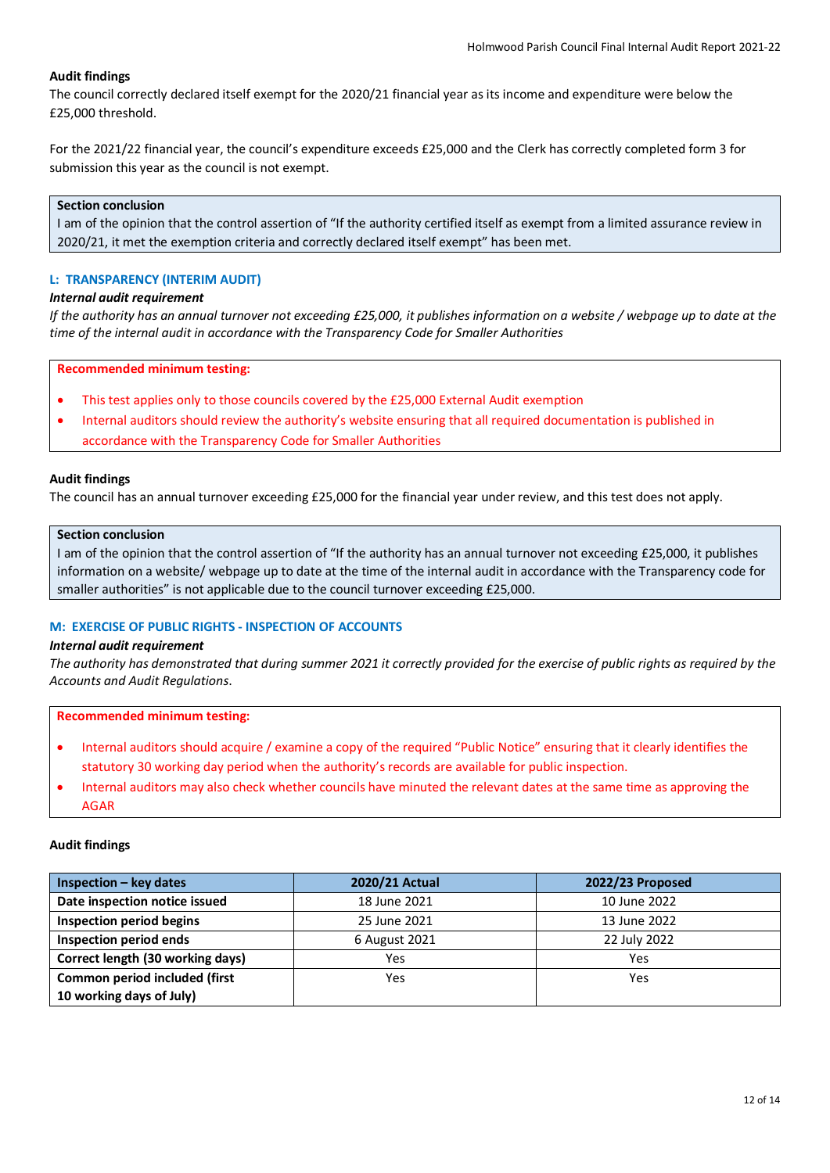The council correctly declared itself exempt for the 2020/21 financial year as its income and expenditure were below the £25,000 threshold.

For the 2021/22 financial year, the council's expenditure exceeds £25,000 and the Clerk has correctly completed form 3 for submission this year as the council is not exempt.

## **Section conclusion**

I am of the opinion that the control assertion of "If the authority certified itself as exempt from a limited assurance review in 2020/21, it met the exemption criteria and correctly declared itself exempt" has been met.

#### **L: TRANSPARENCY (INTERIM AUDIT)**

# *Internal audit requirement*

*If the authority has an annual turnover not exceeding £25,000, it publishes information on a website / webpage up to date at the time of the internal audit in accordance with the Transparency Code for Smaller Authorities*

#### **Recommended minimum testing:**

- This test applies only to those councils covered by the £25,000 External Audit exemption
- Internal auditors should review the authority's website ensuring that all required documentation is published in accordance with the Transparency Code for Smaller Authorities

#### **Audit findings**

The council has an annual turnover exceeding £25,000 for the financial year under review, and this test does not apply.

#### **Section conclusion**

I am of the opinion that the control assertion of "If the authority has an annual turnover not exceeding £25,000, it publishes information on a website/ webpage up to date at the time of the internal audit in accordance with the Transparency code for smaller authorities" is not applicable due to the council turnover exceeding £25,000.

## **M: EXERCISE OF PUBLIC RIGHTS - INSPECTION OF ACCOUNTS**

#### *Internal audit requirement*

*The authority has demonstrated that during summer 2021 it correctly provided for the exercise of public rights as required by the Accounts and Audit Regulations*.

**Recommended minimum testing:**

- Internal auditors should acquire / examine a copy of the required "Public Notice" ensuring that it clearly identifies the statutory 30 working day period when the authority's records are available for public inspection.
- Internal auditors may also check whether councils have minuted the relevant dates at the same time as approving the AGAR

#### **Audit findings**

| $Inspection - key dates$         | 2020/21 Actual | 2022/23 Proposed |
|----------------------------------|----------------|------------------|
| Date inspection notice issued    | 18 June 2021   | 10 June 2022     |
| <b>Inspection period begins</b>  | 25 June 2021   | 13 June 2022     |
| Inspection period ends           | 6 August 2021  | 22 July 2022     |
| Correct length (30 working days) | Yes            | Yes              |
| Common period included (first    | Yes            | Yes              |
| 10 working days of July)         |                |                  |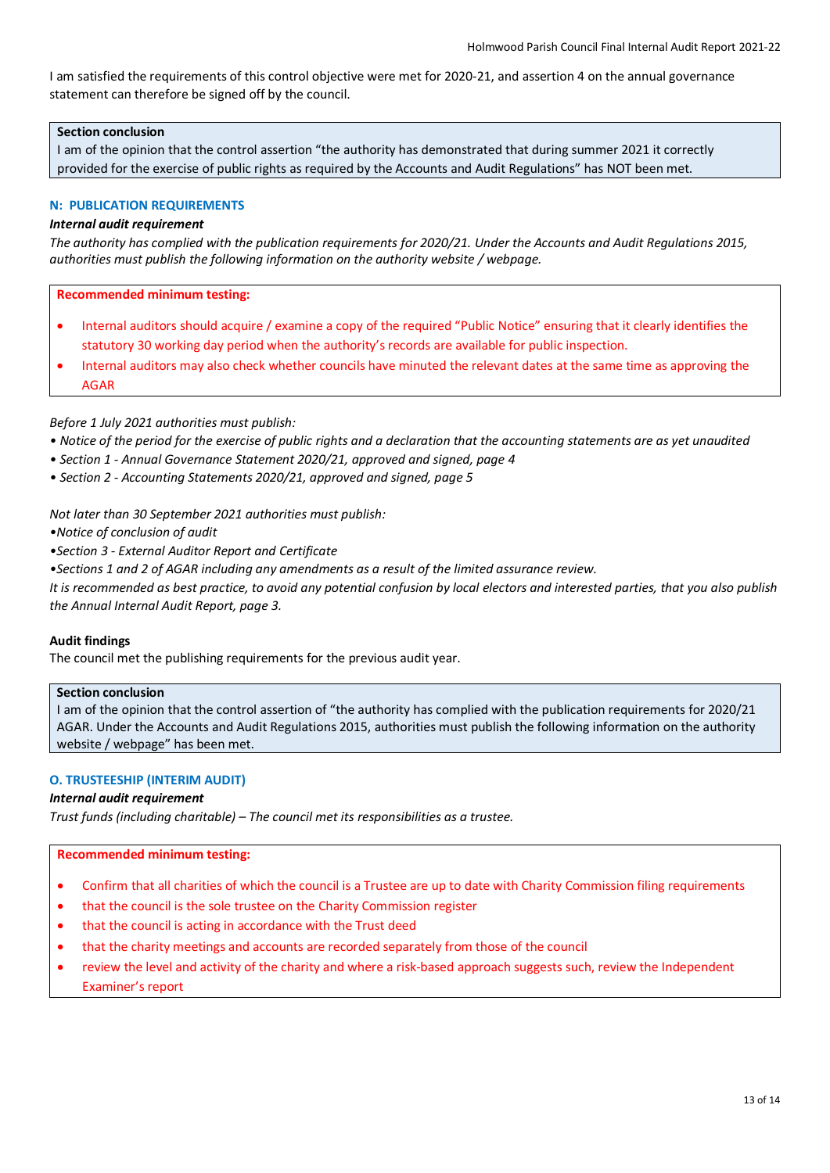I am satisfied the requirements of this control objective were met for 2020-21, and assertion 4 on the annual governance statement can therefore be signed off by the council.

# **Section conclusion**

I am of the opinion that the control assertion "the authority has demonstrated that during summer 2021 it correctly provided for the exercise of public rights as required by the Accounts and Audit Regulations" has NOT been met.

# **N: PUBLICATION REQUIREMENTS**

# *Internal audit requirement*

*The authority has complied with the publication requirements for 2020/21. Under the Accounts and Audit Regulations 2015, authorities must publish the following information on the authority website / webpage.*

**Recommended minimum testing:**

- Internal auditors should acquire / examine a copy of the required "Public Notice" ensuring that it clearly identifies the statutory 30 working day period when the authority's records are available for public inspection.
- Internal auditors may also check whether councils have minuted the relevant dates at the same time as approving the AGAR

# *Before 1 July 2021 authorities must publish:*

- *Notice of the period for the exercise of public rights and a declaration that the accounting statements are as yet unaudited*
- *Section 1 Annual Governance Statement 2020/21, approved and signed, page 4*
- *Section 2 Accounting Statements 2020/21, approved and signed, page 5*

*Not later than 30 September 2021 authorities must publish:*

*•Notice of conclusion of audit*

*•Section 3 - External Auditor Report and Certificate*

*•Sections 1 and 2 of AGAR including any amendments as a result of the limited assurance review.*

*It is recommended as best practice, to avoid any potential confusion by local electors and interested parties, that you also publish the Annual Internal Audit Report, page 3.*

# **Audit findings**

The council met the publishing requirements for the previous audit year.

# **Section conclusion**

I am of the opinion that the control assertion of "the authority has complied with the publication requirements for 2020/21 AGAR. Under the Accounts and Audit Regulations 2015, authorities must publish the following information on the authority website / webpage" has been met.

# **O. TRUSTEESHIP (INTERIM AUDIT)**

# *Internal audit requirement*

*Trust funds (including charitable) – The council met its responsibilities as a trustee.*

- Confirm that all charities of which the council is a Trustee are up to date with Charity Commission filing requirements
- that the council is the sole trustee on the Charity Commission register
- that the council is acting in accordance with the Trust deed
- that the charity meetings and accounts are recorded separately from those of the council
- review the level and activity of the charity and where a risk-based approach suggests such, review the Independent Examiner's report